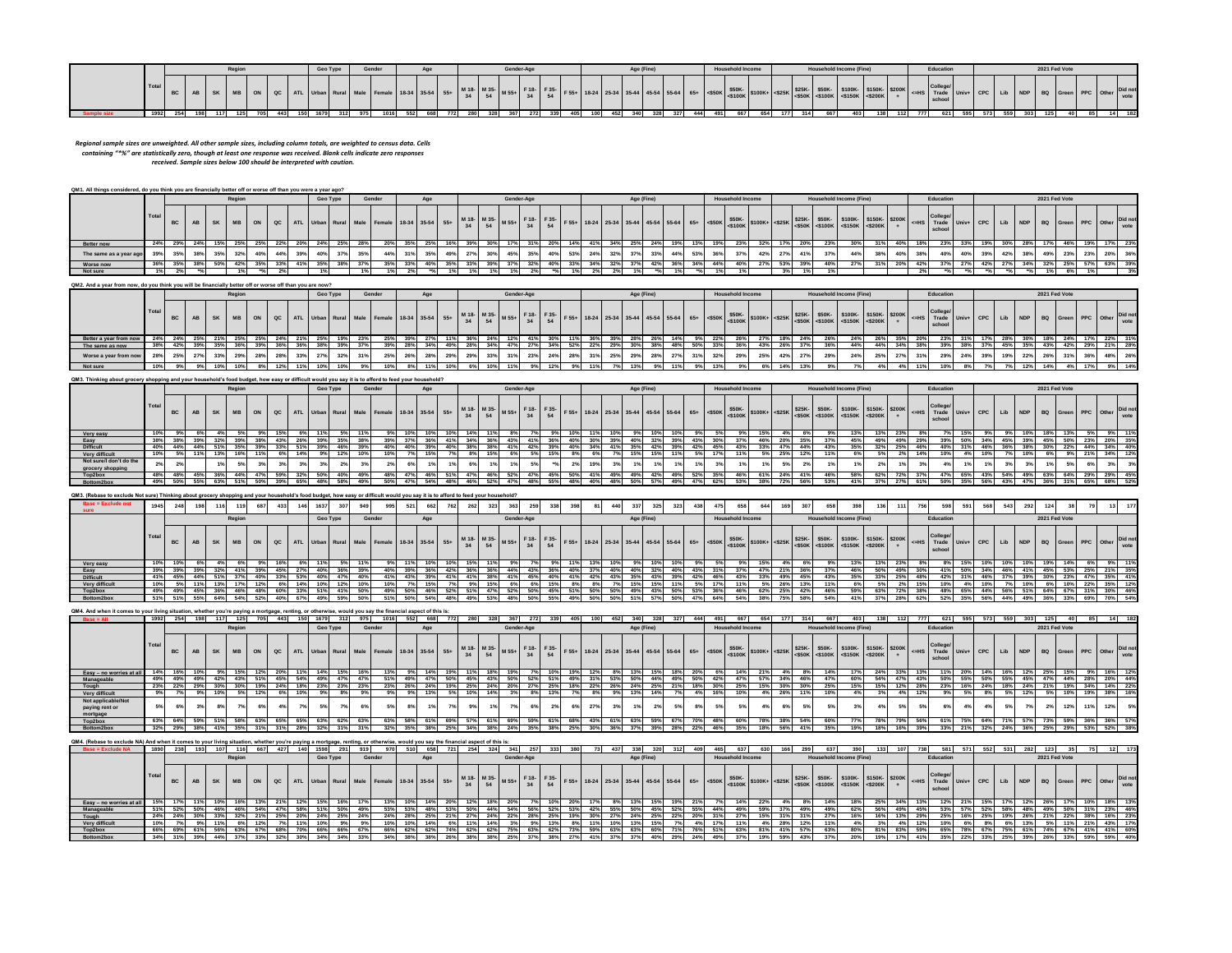|  |       |    |  |  |  | Geo Type | Gender |                    |  |                  | Gender-Ag |            |  |  | Age (Fine |  |       |          | <b>Household Income</b> |                                                                           |             | <b>Household Income (Fine)</b> |                             |                   |  | Educatio |  |     |  | 2021 Fed Vote |  |                  |                |
|--|-------|----|--|--|--|----------|--------|--------------------|--|------------------|-----------|------------|--|--|-----------|--|-------|----------|-------------------------|---------------------------------------------------------------------------|-------------|--------------------------------|-----------------------------|-------------------|--|----------|--|-----|--|---------------|--|------------------|----------------|
|  | Total |    |  |  |  |          |        | Female 18-34 35-54 |  | <b>M 10 M 25</b> |           | $F \neq 0$ |  |  |           |  | $65+$ | $-$ 550K | $\left  \right $ ssnk.  | $ \cdot $ - $\cdot$ = $ \cdot $ -\$100K $ $ \$100K + $ $ -\$25K   $\cdot$ | <b>COEV</b> |                                | $A + A + I$<br>$\leq$ 5150K | $\leq$ $\leq$ 200 |  |          |  | LID |  |               |  | n <sub>the</sub> | Did no<br>vote |
|  | 1992  | -- |  |  |  |          |        | 1010               |  |                  |           |            |  |  |           |  |       |          | <b>CCT</b>              |                                                                           |             |                                | 403                         |                   |  |          |  |     |  |               |  |                  |                |

Regional sample sizes are unweighted. All other sample sizes, including column totals, are weighted to census data. Cells<br>containing "\*%" are statistically zero, though at least one response was received. Blank cells indic

| QM1. All things considered, do you think you are financially better off or worse off than you were a year ago? |       |     |  |        |    |               |                                             |     |        |     |     |     |                       |    |            |     |     |     |  |            |                                              |     |     |                         |                                     |     |     |                                                                                 |     |                                       |     |     |     |                      |           |                        |
|----------------------------------------------------------------------------------------------------------------|-------|-----|--|--------|----|---------------|---------------------------------------------|-----|--------|-----|-----|-----|-----------------------|----|------------|-----|-----|-----|--|------------|----------------------------------------------|-----|-----|-------------------------|-------------------------------------|-----|-----|---------------------------------------------------------------------------------|-----|---------------------------------------|-----|-----|-----|----------------------|-----------|------------------------|
|                                                                                                                |       |     |  | Region |    |               | Geo Type                                    |     | Gender |     | Age |     |                       |    | Gender-Age |     |     |     |  | Age (Fine) |                                              |     |     | <b>Household Income</b> |                                     |     |     | <b>Household Income (Fine)</b>                                                  |     | Education                             |     |     |     | 2021 Fed Vote        |           |                        |
|                                                                                                                | Total |     |  |        | ON | $_{\alpha c}$ | ATL Urban Rural Male Female 18-34 35-54 55+ |     |        |     |     |     | M 18- M 35-<br>$\sim$ | 54 |            | 34  |     |     |  |            | F55+ 18-24 25-34 35-44 45-54 55-64 65+ <550K |     |     |                         | $\frac{$50K}{5100K}$ \$100K+ <\$25K |     |     | \$25K- \$50K- \$100K- \$150K- \$200K<br>$ \text{<}50K $ <\$100K <\$150K <\$200K |     | College<br><=HS Trade Univ+<br>school |     |     |     | CPC Lib NDP BQ Green | PPC Other | <b>Did not</b><br>vote |
| Better now                                                                                                     | 24%   |     |  |        |    |               |                                             | 25% |        |     | 25% |     |                       |    |            |     | 20% |     |  |            |                                              | 13% |     |                         |                                     | 20% |     |                                                                                 |     |                                       |     |     |     |                      |           | 23%                    |
| The same as a year ago                                                                                         |       |     |  |        |    |               |                                             |     |        | 31% | 35% | 49% |                       |    |            |     | 40% |     |  |            |                                              | 53% |     |                         |                                     |     |     |                                                                                 |     |                                       |     |     |     |                      |           | 36%                    |
| Worse now                                                                                                      | 36%   | 35% |  |        |    | nner.         |                                             |     |        | 33% | 40% | 35% |                       |    | 37%        | 32% | 40% | 33% |  |            |                                              | 34% | 44% | 40%                     | 27%                                 | 39% | 40% |                                                                                 | 20% |                                       | 42% | 34% | 32% |                      | E79/      | 39%                    |
| Not sure                                                                                                       | 1%    | 2%  |  |        |    |               |                                             |     |        |     |     |     | 1%                    |    |            |     |     |     |  |            |                                              |     |     | 1%                      |                                     |     |     |                                                                                 |     |                                       |     |     |     |                      |           | 3%                     |

|                        |       |     |  | Region |               |     |           | Geo Type | Gender                            |                | Age |     |                   |     | Gender-Age |                   |     |     |     |     | Age (Fine)                                     |     |     |     | <b>Household Income</b>                                                                                        |     |     | <b>Household Income (Fine)</b>                                       |     |  |           | Education                       |  |         |     |              | 2021 Fed Vote |         |         |                        |
|------------------------|-------|-----|--|--------|---------------|-----|-----------|----------|-----------------------------------|----------------|-----|-----|-------------------|-----|------------|-------------------|-----|-----|-----|-----|------------------------------------------------|-----|-----|-----|----------------------------------------------------------------------------------------------------------------|-----|-----|----------------------------------------------------------------------|-----|--|-----------|---------------------------------|--|---------|-----|--------------|---------------|---------|---------|------------------------|
|                        | Total |     |  |        | $_{\alpha c}$ |     | ATL Urban |          | Rural Male Female 18-34 35-54 55+ |                |     |     | M 18- M 35-<br>34 |     | M 55+      | F 18- F 35-<br>34 | 54  |     |     |     | F 55+ 18-24 25-34 35-44 45-54 55-64 65+ <\$50K |     |     |     | $\begin{array}{ c c c c c c c c } \hline & $50\text{K} & $5100\text{K}+$ & $<$25\text{K} \\\hline \end{array}$ |     |     | \$25K- \$50K- \$100K- \$150K- \$200K<br>S50K <\$100K <\$150K <\$200K |     |  | $\leq$ HS | College<br>Trade Univ+<br>schoo |  | CPC Lib |     | NDP BQ Green |               |         | : Other | <b>Did not</b><br>vote |
| Better a year from now | 24%   | 24% |  |        |               |     |           |          |                                   | 3376           |     |     |                   |     |            |                   |     |     |     |     |                                                |     |     | 227 | 26%                                                                                                            |     |     |                                                                      | 24% |  |           |                                 |  |         |     |              |               |         |         |                        |
| The same as now        | 38%   | 42% |  |        | 36%           | 36% |           |          | 39%                               | 28%            | 34% |     |                   |     | 47%        | 27%               | 34% | 52% | 22% | 29% | -30%                                           | 48% | 50% | 33% | 36%                                                                                                            | 43% | 26% | 36%                                                                  | 44% |  |           |                                 |  | 45%     | 35% | 43%          | 42%           | 29%     |         | 28%                    |
| Worse a year from now  | 28%   |     |  |        |               | 33% |           |          |                                   | near           |     |     |                   |     |            |                   |     |     |     |     |                                                |     |     |     | 29%                                                                                                            |     | 42% |                                                                      | 24% |  |           |                                 |  | 19%     | 227 | 26%          |               |         |         | 26%                    |
| Not sure               | 10%   | 9%  |  |        |               | 11% |           |          | 10                                | 8 <sub>0</sub> |     | 10% | 6%                | 10% |            |                   |     |     |     |     |                                                |     |     | 13% |                                                                                                                |     | 14% |                                                                      |     |  |           |                                 |  |         |     | 14%          |               | $4 - n$ |         | 14%                    |

| . Thinking about grocery shopping and '     |       |     |     |     |        | nousenoid s food buddet. Now easy or dimicult would v |               |     |          | <b>NAV</b> |        | t is to afford to feed your nousehold:      |     |     |                                 |     |     |            |     |                 |     |     |     |            |     |     |     |     |                         |     |            |     |                                                                                                                                                         |     |       |     |           |                   |             |            |                                |     |     |               |     |     |                 |
|---------------------------------------------|-------|-----|-----|-----|--------|-------------------------------------------------------|---------------|-----|----------|------------|--------|---------------------------------------------|-----|-----|---------------------------------|-----|-----|------------|-----|-----------------|-----|-----|-----|------------|-----|-----|-----|-----|-------------------------|-----|------------|-----|---------------------------------------------------------------------------------------------------------------------------------------------------------|-----|-------|-----|-----------|-------------------|-------------|------------|--------------------------------|-----|-----|---------------|-----|-----|-----------------|
|                                             |       |     |     |     | Region |                                                       |               |     | Geo Type |            | Gender |                                             |     | Age |                                 |     |     | Gender-Age |     |                 |     |     |     | Age (Fine) |     |     |     |     | <b>Household Income</b> |     |            |     | <b>Household Income (Fine)</b>                                                                                                                          |     |       |     |           | Education         |             |            |                                |     |     | 2021 Fed Vote |     |     |                 |
|                                             | Total |     |     |     |        | MB ON                                                 | $_{\alpha c}$ |     |          |            |        | ATL Urban Rural Male Female 18-34 35-54 55+ |     |     | $M = 18.$ M 35-<br>$M = 55 + 1$ |     |     |            |     | F18- F35-<br>54 |     |     |     |            |     |     |     |     |                         |     |            |     | F 55+ 18-24 25-34 35-44 45-54 55-64 65+ 4500K 550K- 5100K+ 4325K 525K- 550K- 5100K- 5150K- 5160K- 5150K- 5150K-<br>\$25K- \$50K- \$100K- \$150K- \$200K |     |       |     | $\leq$ HS | College<br>school | Trade Univ+ |            | CPC Lib NDP BQ Green PPC Other |     |     |               |     |     | Did not<br>vote |
| Very easy                                   | 10%   |     |     |     |        |                                                       |               |     |          |            |        |                                             |     |     |                                 |     |     |            |     |                 |     |     |     |            |     |     |     |     |                         |     |            |     |                                                                                                                                                         |     |       |     |           |                   |             |            |                                |     |     |               |     |     |                 |
| Easy                                        | 38%   |     |     |     |        |                                                       |               | 26% |          |            |        |                                             |     |     |                                 |     |     |            |     |                 |     |     |     |            |     |     |     | 30% |                         |     |            |     |                                                                                                                                                         | 45% |       | 49  |           |                   |             |            |                                |     | 45% |               |     |     |                 |
| <b>Difficult</b>                            | 40%   | 44% |     |     | 35%    |                                                       | 33%           | 51% | 39%      | 46%        | 39%    |                                             | 40% |     | 40%                             |     |     | 41%        | 42% | 39%             | 40% |     |     |            | 42% | 39% | 42% | 45% | 43%                     |     |            | 44% | 43%                                                                                                                                                     | 35% | -3470 | 25% |           |                   |             |            | 36%<br>46%                     | 38% | 30% | 22%           | 44% |     | 40%             |
| Very difficult                              | 10%   |     |     |     |        | 11%                                                   | 6%            | 14% |          |            |        |                                             |     |     |                                 |     |     |            |     |                 |     |     |     |            | 15% |     |     |     |                         |     | <b>25%</b> |     |                                                                                                                                                         |     |       |     |           |                   |             |            |                                |     |     |               |     |     |                 |
| Not sure/I don't do the<br>grocery shopping |       |     |     |     |        |                                                       |               |     |          |            |        |                                             |     |     |                                 |     |     |            |     |                 |     |     |     |            |     |     |     |     |                         |     |            |     |                                                                                                                                                         |     |       |     |           |                   |             |            |                                |     |     |               |     |     |                 |
| Top2box                                     | 48%   |     | 45% | 36% | 44%    | 47%                                                   | 59%           | 32% | 50%      | 40%        | 49%    | 48%                                         | 47% | 46% | 51%                             | 47% | 46% | 52%        | 47% | 45%             | 50% |     | 49% | 49%        | 42% | 49% | 52% | 35% | 46%                     | 61% | 24%        | 41% | 46%                                                                                                                                                     | 58% | 62%   | 700 |           |                   | 47%         | 43%        | 54%                            | 49% | 63% | 64%           | 29% | 29% | 45%             |
| Bottom2box                                  | 49%   | 50% | 55% | 63% | 51%    | 50%                                                   | 39%           | 65% | 48%      | 58%        |        | 50%                                         | 47% | 54% | 48%                             | 46% | 52% | 47%        | 48% | 55%             | 48% | 40% | 48% | 50%        | 57% | 49% | 47% | 62% | 53%                     | 38% | 72%        | 56% | 53%                                                                                                                                                     | 41% | 37%   | 27% |           | 61%               | 50%         | 35%<br>56% | 43%                            | 47% | 36% | 31%           | 65% | 68% | 52%             |

| QM3. (Rebase to exclude Not sure) Thinking about grocery shopping and your household's food budget, how easy or difficult would you say it is to afford to feed your household? |       |     |     |           |        |     |          |     |                                             |        |     |            |            |             |     |     |            |                               |     |     |     |            |                                                |     |     |                         |     |                                     |        |                                                                                                            |     |                                |      |     |             |                                                       |     |     |     |       |               |           |                        |
|---------------------------------------------------------------------------------------------------------------------------------------------------------------------------------|-------|-----|-----|-----------|--------|-----|----------|-----|---------------------------------------------|--------|-----|------------|------------|-------------|-----|-----|------------|-------------------------------|-----|-----|-----|------------|------------------------------------------------|-----|-----|-------------------------|-----|-------------------------------------|--------|------------------------------------------------------------------------------------------------------------|-----|--------------------------------|------|-----|-------------|-------------------------------------------------------|-----|-----|-----|-------|---------------|-----------|------------------------|
| Base = Exclude not                                                                                                                                                              | 1945  | 248 | 198 | 116       | 119    | 687 | 433      |     | 1637                                        |        | 995 | 521        | 662        | 762<br>2621 |     | 363 | 259        | 338                           |     |     |     |            |                                                | 323 | 438 |                         | 658 |                                     |        |                                                                                                            |     |                                |      |     | 756         |                                                       |     | 568 |     | 292   |               |           |                        |
|                                                                                                                                                                                 |       |     |     |           | Region |     |          |     | Geo Type                                    | Gender |     | Age        |            |             |     |     | Gender-Age |                               |     |     |     | Age (Fine) |                                                |     |     | <b>Household Income</b> |     |                                     |        |                                                                                                            |     | <b>Household Income (Fine)</b> |      |     |             | Education                                             |     |     |     |       | 2021 Fed Vote |           |                        |
|                                                                                                                                                                                 | Total |     |     | <b>SK</b> |        | ON  | $\alpha$ |     | ATL Urban Rural Male Female 18-34 35-54 55+ |        |     |            |            | 24          | 54  |     | 34         | M 18- M 35- M 55+ F 18- F 35- |     |     |     |            | F 55+ 18-24 25-34 35-44 45-54 55-64 65+ <\$50K |     |     |                         |     | $\frac{$50K}{5100K}$ \$100K+ <\$25K |        | \$25K- \$50K- \$100K- \$150K- \$200K<br>$ \texttt{<$50K} \texttt{<$100K} \texttt{<$150K} \texttt{<$200K} $ |     |                                |      |     | $I \leq HS$ | College<br>Trade Univ+ CPC Lib NDP BQ Green<br>school |     |     |     |       |               | PPC Other | <b>Did not</b><br>vote |
| Very easy                                                                                                                                                                       | 10%   |     |     |           |        |     |          |     |                                             |        |     |            |            |             |     |     |            |                               |     |     |     |            |                                                |     |     |                         |     |                                     |        |                                                                                                            |     |                                |      |     |             |                                                       |     |     |     |       |               |           | 11%                    |
| Easy                                                                                                                                                                            |       |     |     |           |        |     |          |     |                                             |        |     |            | 36%<br>42% |             |     | 44% |            |                               |     |     |     |            |                                                |     | 43% |                         |     |                                     |        |                                                                                                            |     |                                |      |     |             |                                                       |     |     |     |       |               |           | 35%                    |
| <b>Difficult</b>                                                                                                                                                                | 41%   |     |     |           |        |     |          |     |                                             |        |     | 43%        | 41%        |             |     |     | 45%        | 40%                           |     |     |     |            |                                                |     | 42% |                         |     |                                     |        |                                                                                                            | 43% |                                |      |     |             |                                                       |     |     |     |       |               |           | 41%                    |
| Very difficult                                                                                                                                                                  | 10%   | 5%  |     |           |        |     |          |     |                                             |        |     |            |            |             |     |     |            | 15%                           |     |     |     |            |                                                |     |     |                         | 11% |                                     | $\sim$ | 13%                                                                                                        |     | 6% l                           |      |     |             |                                                       |     | 10% |     | 10% 1 |               |           | 12%                    |
| Top2box                                                                                                                                                                         | 49%   |     | 45% | 36%       | 46%    | 48% | 60%      | 33% | 51%                                         | 50%    | 49% | 50%        | 46%<br>52% | 51%         | 47% | 52% | 50%        | 45%                           | 51% | 50% | 50% |            |                                                |     | 53% | 36%                     | 46% | 62%                                 | 25%    | 42%                                                                                                        | 46% | 59%                            |      | 72% |             |                                                       | 65% | 44% | 56% | 51%   | 64%           |           | 46%                    |
| Bottom2box                                                                                                                                                                      | 51%   | 51% | 55% | 64%       | 54%    | 52% |          |     |                                             | 50%    |     | 50%<br>54% | 48%        |             | 53% | 48% | 50%        | 55%                           | 49% |     |     |            |                                                | 50% | 47% | 64%                     | 54% | 38%                                 |        | 58%                                                                                                        | 54% |                                | 270/ | 28% |             |                                                       | 35% | 56% |     | 49%   | 36%           | 69%       | 54%                    |

| QM4. And when it comes to your living situation, whether you're paying a mortgage, renting, or otherwise, would you say the financial aspect of this is: |       |     |     |     |           |     |          |                 |          |     |                                             |      |     |     |     |                   |     |            |      |     |     |     |     |            |                                                |     |     |     |                         |                                     |     |                                                                                                               |     |                                |     |     |             |                   |                                  |     |     |               |     |           |     |                        |
|----------------------------------------------------------------------------------------------------------------------------------------------------------|-------|-----|-----|-----|-----------|-----|----------|-----------------|----------|-----|---------------------------------------------|------|-----|-----|-----|-------------------|-----|------------|------|-----|-----|-----|-----|------------|------------------------------------------------|-----|-----|-----|-------------------------|-------------------------------------|-----|---------------------------------------------------------------------------------------------------------------|-----|--------------------------------|-----|-----|-------------|-------------------|----------------------------------|-----|-----|---------------|-----|-----------|-----|------------------------|
| Base = All                                                                                                                                               | 1992  |     |     |     |           |     |          |                 |          |     |                                             |      |     |     |     |                   |     |            |      |     |     |     |     |            |                                                |     |     |     |                         |                                     |     |                                                                                                               |     |                                |     |     |             |                   |                                  |     |     |               |     |           |     | 182                    |
|                                                                                                                                                          |       |     |     |     | Region    |     |          |                 | Geo Type |     | Gender                                      |      |     | Age |     |                   |     | Gender-Age |      |     |     |     |     | Age (Fine) |                                                |     |     |     | <b>Household Income</b> |                                     |     |                                                                                                               |     | <b>Household Income (Fine)</b> |     |     |             | Education         |                                  |     |     | 2021 Fed Vote |     |           |     |                        |
|                                                                                                                                                          | Total |     |     |     | <b>MR</b> | ON  | $\alpha$ |                 |          |     | ATL Urban Rural Male Female 18-34 35-54 55+ |      |     |     |     | M 18- M 35-<br>34 |     |            | 34   |     |     |     |     |            | F 55+ 18-24 25-34 35-44 45-54 55-64 65+ <\$50K |     |     |     |                         | $\frac{$50K}{5100K}$ \$100K+ <\$25K |     | \$25K- \$50K- \$100K- \$150K- \$200K<br>$ \text{<}50K $ $ \text{<}5100K $ $ \text{<}5150K $ $ \text{<}5200K $ |     |                                |     |     | $I \leq HS$ | College<br>school | Trade Univ+ CPC Lib NDP BQ Green |     |     |               |     | PPC Other |     | <b>Did not</b><br>vote |
| Easy - no worries at all                                                                                                                                 |       |     |     |     |           |     |          |                 |          |     |                                             |      |     |     |     |                   |     |            |      |     |     |     |     |            |                                                |     |     |     |                         |                                     |     |                                                                                                               |     |                                |     |     |             |                   |                                  |     |     |               |     |           |     | 12%                    |
| Manageable                                                                                                                                               | 49%   |     |     |     | 43%       | 51' | 45%      |                 |          |     |                                             |      | 49% | 47% | 50% | 45%               |     | 50%        | 52%  | 51% | 49% |     |     |            |                                                | 49% | 50% | 42% |                         | 57%                                 | 34% | 46%                                                                                                           |     | 60%                            |     | 47% |             |                   | 50%                              | 55% | 45% |               |     |           |     | 44%                    |
| Tough                                                                                                                                                    | 23%   | 22% |     |     |           | 19% | 24%      |                 | 23%      | 23% | 23%                                         | 23%  | 26% | 24% | 19% | 25%               | 24% | 20%        | -272 | 25% | 18% | 22% |     |            |                                                |     | 18% | 30% | 25%                     | 15%                                 |     | 30%                                                                                                           | 25% | 15%                            | 15% |     |             |                   | 24%                              |     | 24% | 21%           |     |           |     | 22%                    |
| Very difficult                                                                                                                                           | 9%    |     |     | 10% | 5%        | 129 |          | 10 <sub>2</sub> |          | 8%  |                                             | 9% L |     | 13% | 5%  | 10%               |     |            |      | 13% |     |     |     |            | 14%                                            |     | 4%  | 16% | 10%                     |                                     |     | 11%                                                                                                           | 10% |                                |     |     |             |                   |                                  |     | 12% |               |     |           |     | 16%                    |
| Not applicable/Not<br>paying rent or<br>mortgage                                                                                                         | 5%    | 6%  |     |     |           |     |          |                 |          |     |                                             |      | 8%  | 1%  | 7%  |                   |     |            |      | 2%  | 6%  | 27% |     |            |                                                |     | 8%  |     | 5%                      |                                     | 6%  |                                                                                                               |     |                                |     |     |             |                   |                                  | 5%  | 7%  |               | 12% | 11%       |     | 5%                     |
| Top2box                                                                                                                                                  | 63%   | 64% |     |     | 58%       | 63% | 65%      | 65%             | 63%      | 62% | 63%                                         | 63%  | 58% | 61% | 69% | 57%               |     | 69%        | 59%  | 61% | 68% | 43% | 61% |            | 59%                                            | 67% | 70% | 48% | 60%                     | 78%                                 | 38% | 54%                                                                                                           | 60% |                                |     | 79% |             |                   | 64%                              | 740 | 57% | 73%           | 59% | 36%       | 36% | 57%                    |
| Bottom2box                                                                                                                                               | 32%   | 29% | 38% | 41% | 35%       | 31% | 31%      |                 |          |     |                                             |      | 35% | 38% | 25% |                   |     | 24%        | 35%  | 38% | 25% |     |     |            |                                                | 28% | 22% |     | 35%                     | 18%                                 |     |                                                                                                               |     |                                |     |     |             |                   | 32%                              | 24% | 36% | 25%           |     |           |     | 38%                    |

|                          | ) And when it comes to your living si |     |  |        |                             |               |     |          |  | , renting, or otherwise, would you say the financial aspect of this is: |                |     |             |            |             |                  |     |     |                                                |     |     |     |     |                                                  |                 |     |                                                                        |     |     |     |        |                                  |         |     |     |               |     |           |                 |
|--------------------------|---------------------------------------|-----|--|--------|-----------------------------|---------------|-----|----------|--|-------------------------------------------------------------------------|----------------|-----|-------------|------------|-------------|------------------|-----|-----|------------------------------------------------|-----|-----|-----|-----|--------------------------------------------------|-----------------|-----|------------------------------------------------------------------------|-----|-----|-----|--------|----------------------------------|---------|-----|-----|---------------|-----|-----------|-----------------|
|                          | 1890                                  |     |  |        |                             |               |     |          |  |                                                                         |                |     | 254         |            |             |                  |     |     |                                                |     |     |     |     |                                                  |                 |     |                                                                        |     |     |     |        |                                  |         |     |     |               |     |           |                 |
|                          |                                       |     |  | Region |                             |               |     | Geo Type |  | Gender                                                                  |                | Age |             | Gender-Age |             |                  |     |     | Age (Fine)                                     |     |     |     |     | <b>Household Income</b>                          |                 |     | <b>Household Income (Fine)</b>                                         |     |     |     |        | Education                        |         |     |     | 2021 Fed Vote |     |           |                 |
|                          | Total                                 |     |  |        | $\overline{\phantom{a}}$ ON | $_{\alpha c}$ |     |          |  | ATL Urban Rural Male Female 18-34 35-54 55+                             |                |     | M 18- M 35- | M 55+      | F 18- F 35- | <b>CA</b>        |     |     | F 55+ 18-24 25-34 35-44 45-54 55-64 65+ <\$50K |     |     |     |     | \$50K-<br>$ \cdot$ \$100K \$100K+ $ \cdot$ \$25K |                 |     | \$25K- \$50K- \$100K- \$150K- \$200K<br><\$50K <\$100K <\$150K <\$200K |     |     |     | $=$ HS | College<br>Trade Univ+<br>school | CPC Lib |     |     | NDP BQ Green  |     | PPC Other | Did not<br>vote |
| Easy - no worries at all |                                       |     |  |        |                             |               |     |          |  |                                                                         |                |     |             |            |             |                  |     |     |                                                |     |     |     |     | 1976                                             |                 |     |                                                                        | 10% |     |     |        |                                  |         |     |     |               |     |           |                 |
| Manageable               | 51%                                   | 52% |  | 46%    | 54%                         |               | 58% |          |  |                                                                         | 53%            |     |             |            |             | 52%              | 53% | 55% | 50%                                            | 45% | 52% | 55% | 44% | 49%                                              |                 | 49% |                                                                        | 62% | 56% | 49  |        |                                  | 52%     | 58% | 48% | 49%           |     |           | 46%             |
| Tough                    | 24%                                   |     |  |        |                             |               | 20% | 24%      |  | 24%                                                                     | 28%            |     |             |            | 28%         |                  | 19% |     |                                                |     | 22% |     |     | 27%                                              |                 |     |                                                                        |     |     |     |        |                                  |         | 19% |     |               | 22% |           |                 |
| Very difficult           | 10%                                   |     |  |        |                             |               |     |          |  |                                                                         |                |     |             |            |             |                  |     |     |                                                |     |     |     |     |                                                  |                 |     |                                                                        |     |     |     |        |                                  |         |     |     |               |     |           |                 |
| Top2box                  | 66%                                   |     |  |        |                             |               | 70% |          |  |                                                                         | 0.291          |     |             | 75%        |             |                  | 73% |     |                                                |     |     |     | 51% | 63%                                              |                 |     | 63%                                                                    |     |     | 83% |        |                                  | 67%     | 75% |     | 74%           | 67% |           |                 |
| Bottom2box               | 34%                                   | 31% |  |        | 339                         |               | 30% |          |  | $\sim$                                                                  | n <sub>0</sub> |     |             | nFai       |             | n <sub>max</sub> |     |     |                                                |     | 29% |     | 49% |                                                  | EQ <sub>0</sub> |     |                                                                        |     |     |     |        |                                  | 33%     | 25% |     | 26%           |     | EQ9/      |                 |